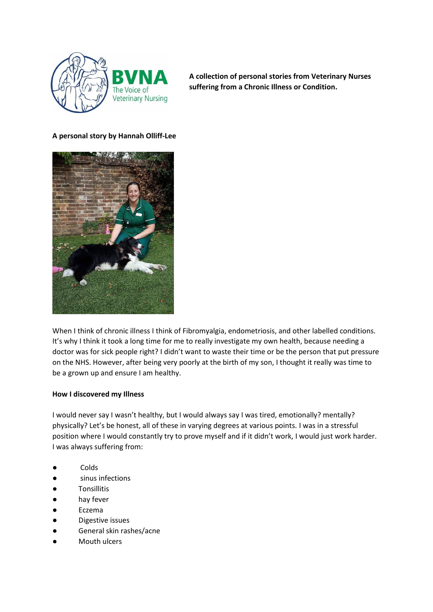

**A collection of personal stories from Veterinary Nurses suffering from a Chronic Illness or Condition.** 

## **A personal story by Hannah Olliff-Lee**



When I think of chronic illness I think of Fibromyalgia, endometriosis, and other labelled conditions. It's why I think it took a long time for me to really investigate my own health, because needing a doctor was for sick people right? I didn't want to waste their time or be the person that put pressure on the NHS. However, after being very poorly at the birth of my son, I thought it really was time to be a grown up and ensure I am healthy.

## **How I discovered my Illness**

I would never say I wasn't healthy, but I would always say I was tired, emotionally? mentally? physically? Let's be honest, all of these in varying degrees at various points. I was in a stressful position where I would constantly try to prove myself and if it didn't work, I would just work harder. I was always suffering from:

- Colds
- sinus infections
- **Tonsillitis**
- hay fever
- **Eczema**
- Digestive issues
- General skin rashes/acne
- Mouth ulcers